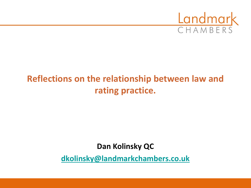

# **Reflections on the relationship between law and rating practice.**

### **Dan Kolinsky QC**

**[dkolinsky@landmarkchambers.co.uk](mailto:dkolinsky@landmarkchambers.co.uk)**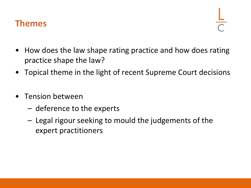

- How does the law shape rating practice and how does rating practice shape the law?
- Topical theme in the light of recent Supreme Court decisions
- Tension between
	- deference to the experts
	- Legal rigour seeking to mould the judgements of the expert practitioners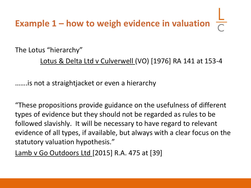# **Example 1 – how to weigh evidence in valuation**

The Lotus "hierarchy"

Lotus & Delta Ltd v Culverwell (VO) [1976] RA 141 at 153-4

…….is not a straightjacket or even a hierarchy

"These propositions provide guidance on the usefulness of different types of evidence but they should not be regarded as rules to be followed slavishly. It will be necessary to have regard to relevant evidence of all types, if available, but always with a clear focus on the statutory valuation hypothesis."

Lamb v Go Outdoors Ltd [2015] R.A. 475 at [39]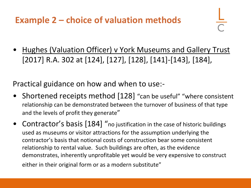# **Example 2 – choice of valuation methods**

• Hughes (Valuation Officer) v York Museums and Gallery Trust [2017] R.A. 302 at [124], [127], [128], [141]-[143], [184],

Practical guidance on how and when to use:-

- Shortened receipts method [128] "can be useful" "where consistent relationship can be demonstrated between the turnover of business of that type and the levels of profit they generate"
- Contractor's basis [184] "no justification in the case of historic buildings used as museums or visitor attractions for the assumption underlying the contractor's basis that notional costs of construction bear some consistent relationship to rental value. Such buildings are often, as the evidence demonstrates, inherently unprofitable yet would be very expensive to construct either in their original form or as a modern substitute"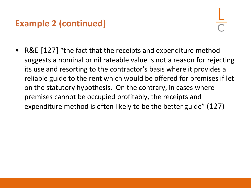• R&E [127] "the fact that the receipts and expenditure method suggests a nominal or nil rateable value is not a reason for rejecting its use and resorting to the contractor's basis where it provides a reliable guide to the rent which would be offered for premises if let on the statutory hypothesis. On the contrary, in cases where premises cannot be occupied profitably, the receipts and expenditure method is often likely to be the better guide" (127)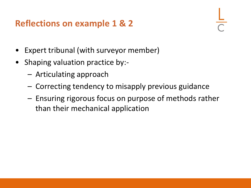## **Reflections on example 1 & 2**

- Expert tribunal (with surveyor member)
- Shaping valuation practice by:-
	- Articulating approach
	- Correcting tendency to misapply previous guidance
	- Ensuring rigorous focus on purpose of methods rather than their mechanical application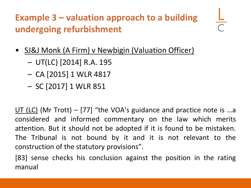# **Example 3 – valuation approach to a building undergoing refurbishment**

- SJ&J Monk (A Firm) v Newbigin (Valuation Officer)
	- UT(LC) [2014] R.A. 195
	- CA [2015] 1 WLR 4817
	- SC [2017] 1 WLR 851

UT (LC) (Mr Trott) – [77] "the VOA's guidance and practice note is …a considered and informed commentary on the law which merits attention. But it should not be adopted if it is found to be mistaken. The Tribunal is not bound by it and it is not relevant to the construction of the statutory provisions".

[83] sense checks his conclusion against the position in the rating manual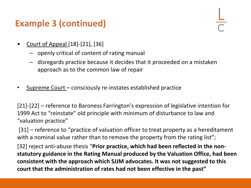- Court of Appeal [18]-[21], [36]
	- openly critical of content of rating manual
	- disregards practice because it decides that it proceeded on a mistaken approach as to the common law of repair
- Supreme Court consciously re-instates established practice

[21]-[22] – reference to Baroness Farrington's expression of legislative intention for 1999 Act to "reinstate" old principle with minimum of disturbance to law and "valuation practice"

[31] – reference to "practice of valuation officer to treat property as a hereditament with a nominal value rather than to remove the property from the rating list";

[32] reject anti-abuse thesis "**Prior practice, which had been reflected in the nonstatutory guidance in the Rating Manual produced by the Valuation Office, had been consistent with the approach which SJJM advocates. It was not suggested to this court that the administration of rates had not been effective in the past"**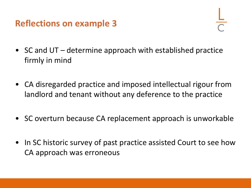# **Reflections on example 3**

- SC and UT determine approach with established practice firmly in mind
- CA disregarded practice and imposed intellectual rigour from landlord and tenant without any deference to the practice
- SC overturn because CA replacement approach is unworkable
- In SC historic survey of past practice assisted Court to see how CA approach was erroneous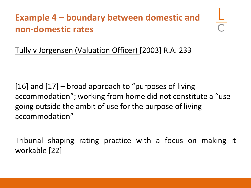# **Example 4 – boundary between domestic and non-domestic rates**

Tully v Jorgensen (Valuation Officer) [2003] R.A. 233

[16] and [17] – broad approach to "purposes of living accommodation"; working from home did not constitute a "use going outside the ambit of use for the purpose of living accommodation"

Tribunal shaping rating practice with a focus on making it workable [22]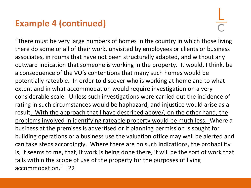"There must be very large numbers of homes in the country in which those living there do some or all of their work, unvisited by employees or clients or business associates, in rooms that have not been structurally adapted, and without any outward indication that someone is working in the property. It would, I think, be a consequence of the VO's contentions that many such homes would be potentially rateable. In order to discover who is working at home and to what extent and in what accommodation would require investigation on a very considerable scale. Unless such investigations were carried out the incidence of rating in such circumstances would be haphazard, and injustice would arise as a result. With the approach that I have described above/, on the other hand, the problems involved in identifying rateable property would be much less. Where a business at the premises is advertised or if planning permission is sought for building operations or a business use the valuation office may well be alerted and can take steps accordingly. Where there are no such indications, the probability is, it seems to me, that, if work is being done there, it will be the sort of work that falls within the scope of use of the property for the purposes of living accommodation." [22]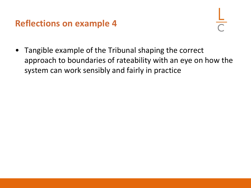### **Reflections on example 4**

• Tangible example of the Tribunal shaping the correct approach to boundaries of rateability with an eye on how the system can work sensibly and fairly in practice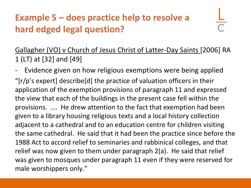# **Example 5 – does practice help to resolve a hard edged legal question?**

Gallagher (VO) v Church of Jesus Christ of Latter-Day Saints [2006] RA 1 (LT) at [32] and [49]

Evidence given on how religious exemptions were being applied "[r/p's expert] describe[d] the practice of valuation officers in their application of the exemption provisions of paragraph 11 and expressed the view that each of the buildings in the present case fell within the provisions. …. He drew attention to the fact that exemption had been given to a library housing religious texts and a local history collection adjacent to a cathedral and to an education centre for children visiting the same cathedral. He said that it had been the practice since before the 1988 Act to accord relief to seminaries and rabbinical colleges, and that relief was now given to them under paragraph 2(a). He said that relief was given to mosques under paragraph 11 even if they were reserved for male worshippers only."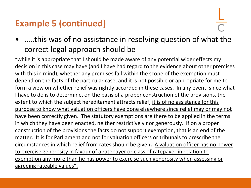• …..this was of no assistance in resolving question of what the correct legal approach should be

"while it is appropriate that I should be made aware of any potential wider effects my decision in this case may have (and I have had regard to the evidence about other premises with this in mind), whether any premises fall within the scope of the exemption must depend on the facts of the particular case, and it is not possible or appropriate for me to form a view on whether relief was rightly accorded in these cases. In any event, since what I have to do is to determine, on the basis of a proper construction of the provisions, the extent to which the subject hereditament attracts relief, it is of no assistance for this purpose to know what valuation officers have done elsewhere since relief may or may not have been correctly given. The statutory exemptions are there to be applied in the terms in which they have been enacted, neither restrictively nor generously. If on a proper construction of the provisions the facts do not support exemption, that is an end of the matter. It is for Parliament and not for valuation officers or tribunals to prescribe the circumstances in which relief from rates should be given**.** A valuation officer has no power to exercise generosity in favour of a ratepayer or class of ratepayer in relation to exemption any more than he has power to exercise such generosity when assessing or agreeing rateable values".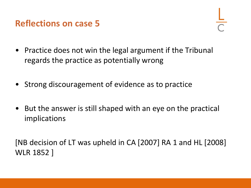

- Practice does not win the legal argument if the Tribunal regards the practice as potentially wrong
- Strong discouragement of evidence as to practice
- But the answer is still shaped with an eye on the practical implications

[NB decision of LT was upheld in CA [2007] RA 1 and HL [2008] WLR 1852 ]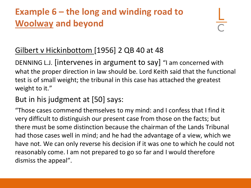# **Example 6 – the long and winding road to Woolway and beyond**

### Gilbert v Hickinbottom [1956] 2 QB 40 at 48

DENNING L.J. [intervenes in argument to say] "I am concerned with what the proper direction in law should be. Lord Keith said that the functional test is of small weight; the tribunal in this case has attached the greatest weight to it."

### But in his judgment at [50] says:

"Those cases commend themselves to my mind: and I confess that I find it very difficult to distinguish our present case from those on the facts; but there must be some distinction because the chairman of the Lands Tribunal had those cases well in mind; and he had the advantage of a view, which we have not. We can only reverse his decision if it was one to which he could not reasonably come. I am not prepared to go so far and I would therefore dismiss the appeal".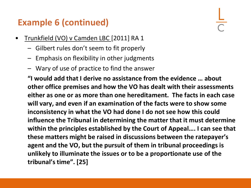- Trunkfield (VO) v Camden LBC [2011] RA 1
	- Gilbert rules don't seem to fit properly
	- Emphasis on flexibility in other judgments
	- Wary of use of practice to find the answer

**"I would add that I derive no assistance from the evidence … about other office premises and how the VO has dealt with their assessments either as one or as more than one hereditament. The facts in each case will vary, and even if an examination of the facts were to show some inconsistency in what the VO had done I do not see how this could influence the Tribunal in determining the matter that it must determine within the principles established by the Court of Appeal…. I can see that these matters might be raised in discussions between the ratepayer's agent and the VO, but the pursuit of them in tribunal proceedings is unlikely to illuminate the issues or to be a proportionate use of the tribunal's time". [25]**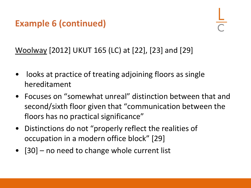Woolway [2012] UKUT 165 (LC) at [22], [23] and [29]

- looks at practice of treating adjoining floors as single hereditament
- Focuses on "somewhat unreal" distinction between that and second/sixth floor given that "communication between the floors has no practical significance"
- Distinctions do not "properly reflect the realities of occupation in a modern office block" [29]
- [30] no need to change whole current list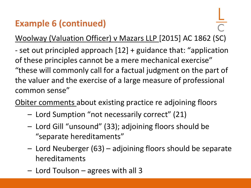Woolway (Valuation Officer) v Mazars LLP [2015] AC 1862 (SC)

- set out principled approach [12] + guidance that: "application of these principles cannot be a mere mechanical exercise" "these will commonly call for a factual judgment on the part of the valuer and the exercise of a large measure of professional common sense"

Obiter comments about existing practice re adjoining floors

- Lord Sumption "not necessarily correct" (21)
- Lord Gill "unsound" (33); adjoining floors should be "separate hereditaments"
- Lord Neuberger (63) adjoining floors should be separate hereditaments
- Lord Toulson agrees with all 3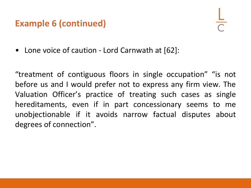• Lone voice of caution - Lord Carnwath at [62]:

"treatment of contiguous floors in single occupation" "is not before us and I would prefer not to express any firm view. The Valuation Officer's practice of treating such cases as single hereditaments, even if in part concessionary seems to me unobjectionable if it avoids narrow factual disputes about degrees of connection".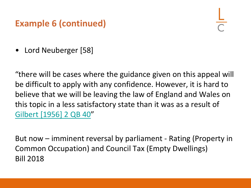• Lord Neuberger [58]

"there will be cases where the guidance given on this appeal will be difficult to apply with any confidence. However, it is hard to believe that we will be leaving the law of England and Wales on this topic in a less satisfactory state than it was as a result of [Gilbert \[1956\] 2 QB 40](https://login.westlaw.co.uk/maf/wluk/app/document?src=doc&linktype=ref&context=160&crumb-action=replace&docguid=IAEC3DCA0E42711DA8FC2A0F0355337E9)"

But now – imminent reversal by parliament - Rating (Property in Common Occupation) and Council Tax (Empty Dwellings) Bill 2018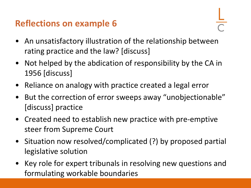# **Reflections on example 6**

- 
- An unsatisfactory illustration of the relationship between rating practice and the law? [discuss]
- Not helped by the abdication of responsibility by the CA in 1956 [discuss]
- Reliance on analogy with practice created a legal error
- But the correction of error sweeps away "unobjectionable" [discuss] practice
- Created need to establish new practice with pre-emptive steer from Supreme Court
- Situation now resolved/complicated (?) by proposed partial legislative solution
- Key role for expert tribunals in resolving new questions and formulating workable boundaries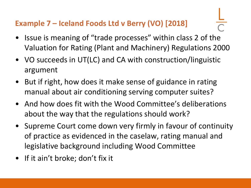### **Example 7 – Iceland Foods Ltd v Berry (VO) [2018]**

- Issue is meaning of "trade processes" within class 2 of the Valuation for Rating (Plant and Machinery) Regulations 2000
- VO succeeds in UT(LC) and CA with construction/linguistic argument
- But if right, how does it make sense of guidance in rating manual about air conditioning serving computer suites?
- And how does fit with the Wood Committee's deliberations about the way that the regulations should work?
- Supreme Court come down very firmly in favour of continuity of practice as evidenced in the caselaw, rating manual and legislative background including Wood Committee
- If it ain't broke; don't fix it